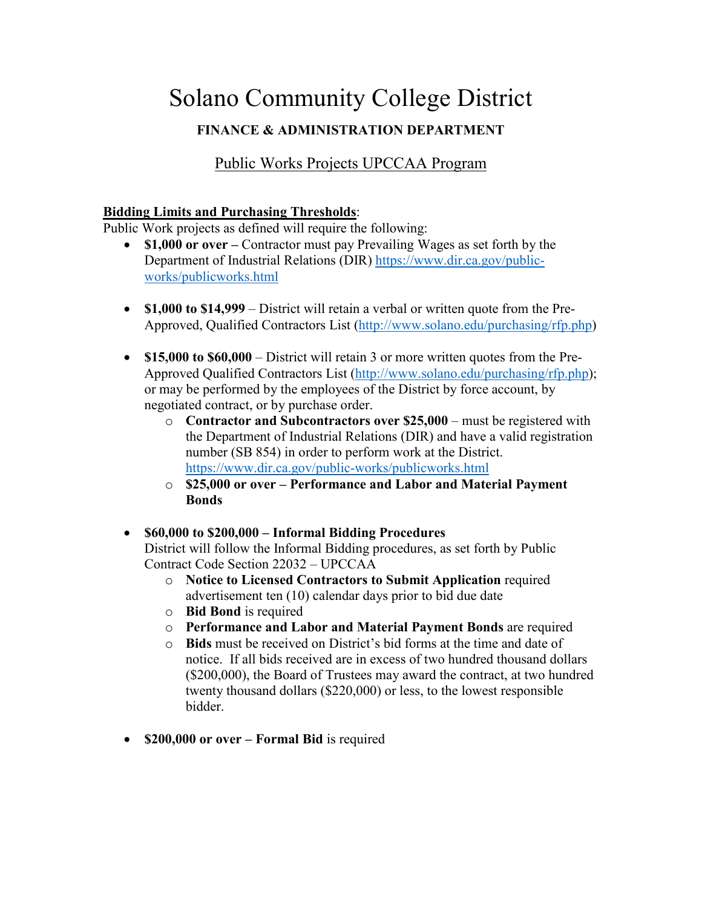# Solano Community College District

# **FINANCE & ADMINISTRATION DEPARTMENT**

# Public Works Projects UPCCAA Program

#### **Bidding Limits and Purchasing Thresholds**:

Public Work projects as defined will require the following:

- **\$1,000 or over** Contractor must pay Prevailing Wages as set forth by the Department of Industrial Relations (DIR) [https://www.dir.ca.gov/public](https://www.dir.ca.gov/public-works/publicworks.html)[works/publicworks.html](https://www.dir.ca.gov/public-works/publicworks.html)
- **\$1,000 to \$14,999**  District will retain a verbal or written quote from the Pre-Approved, Qualified Contractors List [\(http://www.solano.edu/purchasing/rfp.php\)](http://www.solano.edu/purchasing/rfp.php)
- **\$15,000 to \$60,000**  District will retain 3 or more written quotes from the Pre-Approved Qualified Contractors List [\(http://www.solano.edu/purchasing/rfp.php\)](http://www.solano.edu/purchasing/rfp.php); or may be performed by the employees of the District by force account, by negotiated contract, or by purchase order.
	- o **Contractor and Subcontractors over \$25,000** must be registered with the Department of Industrial Relations (DIR) and have a valid registration number (SB 854) in order to perform work at the District. <https://www.dir.ca.gov/public-works/publicworks.html>
	- o **\$25,000 or over – Performance and Labor and Material Payment Bonds**

## • **\$60,000 to \$200,000 – Informal Bidding Procedures**

District will follow the Informal Bidding procedures, as set forth by Public Contract Code Section 22032 – UPCCAA

- o **Notice to Licensed Contractors to Submit Application** required advertisement ten (10) calendar days prior to bid due date
- o **Bid Bond** is required
- o **Performance and Labor and Material Payment Bonds** are required
- o **Bids** must be received on District's bid forms at the time and date of notice. If all bids received are in excess of two hundred thousand dollars (\$200,000), the Board of Trustees may award the contract, at two hundred twenty thousand dollars (\$220,000) or less, to the lowest responsible bidder.
- **\$200,000 or over – Formal Bid** is required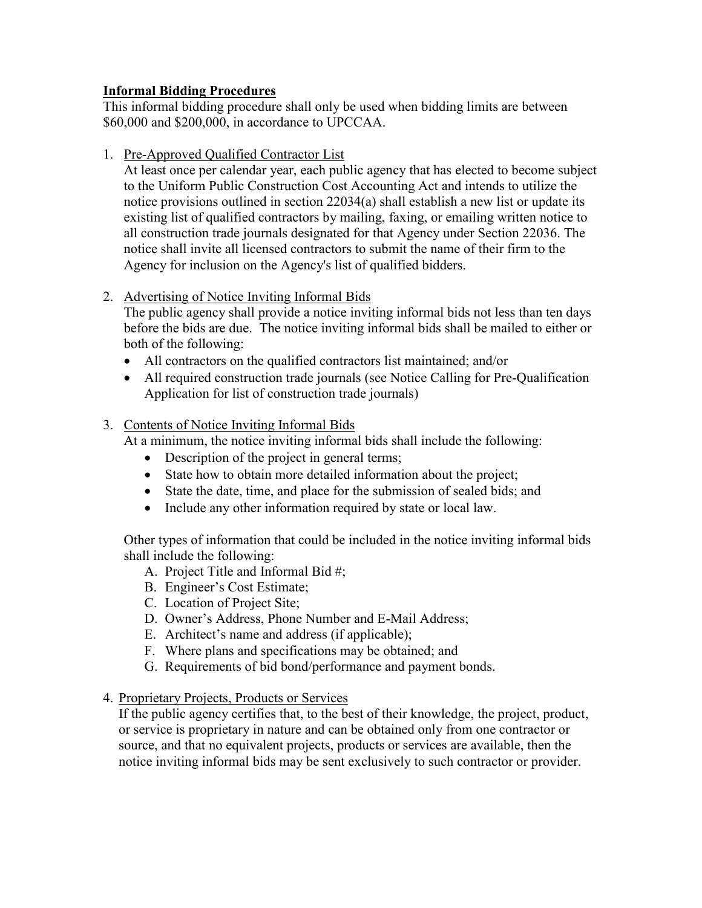### **Informal Bidding Procedures**

This informal bidding procedure shall only be used when bidding limits are between \$60,000 and \$200,000, in accordance to UPCCAA.

1. Pre-Approved Qualified Contractor List

At least once per calendar year, each public agency that has elected to become subject to the Uniform Public Construction Cost Accounting Act and intends to utilize the notice provisions outlined in section 22034(a) shall establish a new list or update its existing list of qualified contractors by mailing, faxing, or emailing written notice to all construction trade journals designated for that Agency under Section 22036. The notice shall invite all licensed contractors to submit the name of their firm to the Agency for inclusion on the Agency's list of qualified bidders.

2. Advertising of Notice Inviting Informal Bids

The public agency shall provide a notice inviting informal bids not less than ten days before the bids are due. The notice inviting informal bids shall be mailed to either or both of the following:

- All contractors on the qualified contractors list maintained; and/or
- All required construction trade journals (see Notice Calling for Pre-Qualification Application for list of construction trade journals)

## 3. Contents of Notice Inviting Informal Bids

At a minimum, the notice inviting informal bids shall include the following:

- Description of the project in general terms;
- State how to obtain more detailed information about the project;
- State the date, time, and place for the submission of sealed bids; and
- Include any other information required by state or local law.

Other types of information that could be included in the notice inviting informal bids shall include the following:

- A. Project Title and Informal Bid #;
- B. Engineer's Cost Estimate;
- C. Location of Project Site;
- D. Owner's Address, Phone Number and E-Mail Address;
- E. Architect's name and address (if applicable);
- F. Where plans and specifications may be obtained; and
- G. Requirements of bid bond/performance and payment bonds.
- 4. Proprietary Projects, Products or Services

If the public agency certifies that, to the best of their knowledge, the project, product, or service is proprietary in nature and can be obtained only from one contractor or source, and that no equivalent projects, products or services are available, then the notice inviting informal bids may be sent exclusively to such contractor or provider.